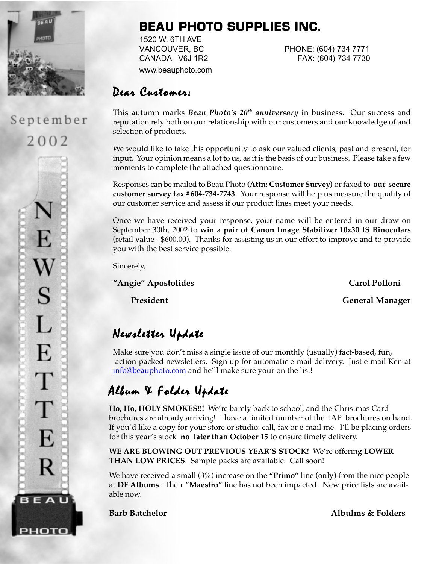

September

 $2002$ 

E

 $\bf W$ 

S

L

E

T

T

E

R

BEAU

рното

## **BEAU PHOTO SUPPLIES INC.**

1520 W. 6TH AVE. www.beauphoto.com

VANCOUVER, BC PHONE: (604) 734 7771 CANADA V6J 1R2 FAX: (604) 734 7730

### Dear Customer:

This autumn marks *Beau Photo's 20th anniversary* in business. Our success and reputation rely both on our relationship with our customers and our knowledge of and selection of products.

We would like to take this opportunity to ask our valued clients, past and present, for input. Your opinion means a lot to us, as it is the basis of our business. Please take a few moments to complete the attached questionnaire.

Responses can be mailed to Beau Photo **(Attn: Customer Survey)** or faxed to **our secure customer survey fax #604-734-7743**. Your response will help us measure the quality of our customer service and assess if our product lines meet your needs.

Once we have received your response, your name will be entered in our draw on September 30th, 2002 to **win a pair of Canon Image Stabilizer 10x30 IS Binoculars** (retail value - \$600.00). Thanks for assisting us in our effort to improve and to provide you with the best service possible.

Sincerely,

**"Angie" Apostolides Carol Polloni**

President **General Manager** 

# Newsletter Update

Make sure you don't miss a single issue of our monthly (usually) fact-based, fun, action-packed newsletters. Sign up for automatic e-mail delivery. Just e-mail Ken at info@beauphoto.com and he'll make sure your on the list!

## Album & Folder Update

**Ho, Ho, HOLY SMOKES!!!** We're barely back to school, and the Christmas Card brochures are already arriving! I have a limited number of the TAP brochures on hand. If you'd like a copy for your store or studio: call, fax or e-mail me. I'll be placing orders for this year's stock **no later than October 15** to ensure timely delivery.

**WE ARE BLOWING OUT PREVIOUS YEAR'S STOCK!** We're offering **LOWER THAN LOW PRICES**. Sample packs are available. Call soon!

We have received a small (3%) increase on the **"Primo"** line (only) from the nice people at **DF Albums**. Their **"Maestro"** line has not been impacted. New price lists are available now.

**Barb Batchelor Albulms & Folders**